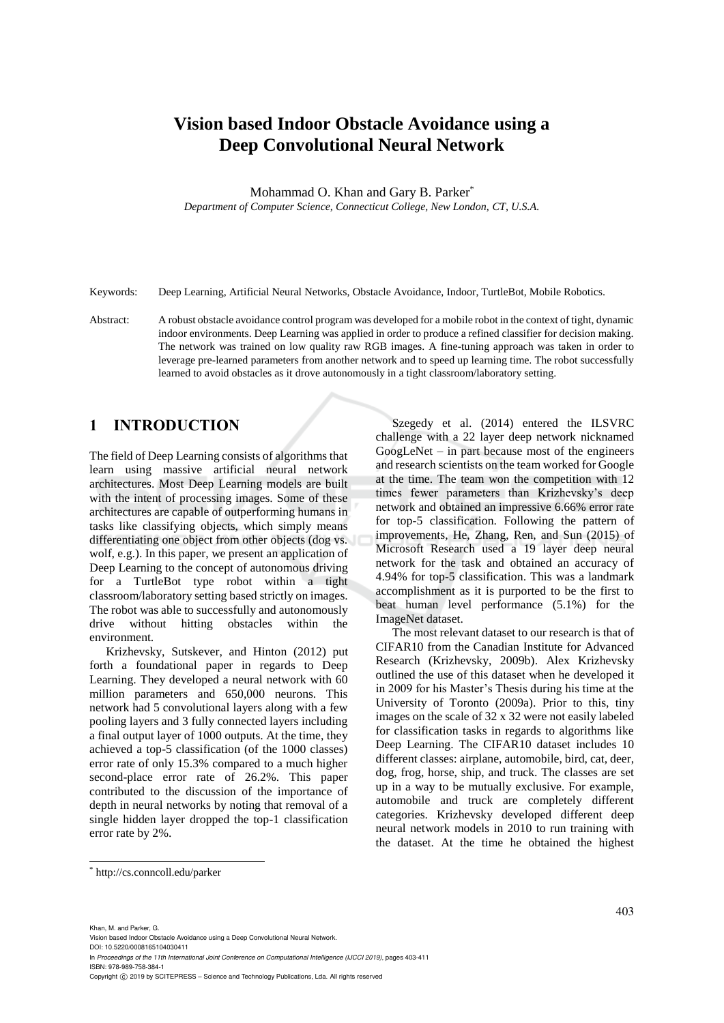# **Vision based Indoor Obstacle Avoidance using a Deep Convolutional Neural Network**

Mohammad O. Khan and Gary B. Parker\*

*Department of Computer Science, Connecticut College, New London, CT, U.S.A.*

Keywords: Deep Learning, Artificial Neural Networks, Obstacle Avoidance, Indoor, TurtleBot, Mobile Robotics.

Abstract: A robust obstacle avoidance control program was developed for a mobile robot in the context of tight, dynamic indoor environments. Deep Learning was applied in order to produce a refined classifier for decision making. The network was trained on low quality raw RGB images. A fine-tuning approach was taken in order to leverage pre-learned parameters from another network and to speed up learning time. The robot successfully learned to avoid obstacles as it drove autonomously in a tight classroom/laboratory setting.

# **1 INTRODUCTION**

The field of Deep Learning consists of algorithms that learn using massive artificial neural network architectures. Most Deep Learning models are built with the intent of processing images. Some of these architectures are capable of outperforming humans in tasks like classifying objects, which simply means differentiating one object from other objects (dog vs. wolf, e.g.). In this paper, we present an application of Deep Learning to the concept of autonomous driving for a TurtleBot type robot within a tight classroom/laboratory setting based strictly on images. The robot was able to successfully and autonomously drive without hitting obstacles within the environment.

Krizhevsky, Sutskever, and Hinton (2012) put forth a foundational paper in regards to Deep Learning. They developed a neural network with 60 million parameters and 650,000 neurons. This network had 5 convolutional layers along with a few pooling layers and 3 fully connected layers including a final output layer of 1000 outputs. At the time, they achieved a top-5 classification (of the 1000 classes) error rate of only 15.3% compared to a much higher second-place error rate of 26.2%. This paper contributed to the discussion of the importance of depth in neural networks by noting that removal of a single hidden layer dropped the top-1 classification error rate by 2%.

Szegedy et al. (2014) entered the ILSVRC challenge with a 22 layer deep network nicknamed GoogLeNet – in part because most of the engineers and research scientists on the team worked for Google at the time. The team won the competition with 12 times fewer parameters than Krizhevsky's deep network and obtained an impressive 6.66% error rate for top-5 classification. Following the pattern of improvements, He, Zhang, Ren, and Sun (2015) of Microsoft Research used a 19 layer deep neural network for the task and obtained an accuracy of 4.94% for top-5 classification. This was a landmark accomplishment as it is purported to be the first to beat human level performance (5.1%) for the ImageNet dataset.

The most relevant dataset to our research is that of CIFAR10 from the Canadian Institute for Advanced Research (Krizhevsky, 2009b). Alex Krizhevsky outlined the use of this dataset when he developed it in 2009 for his Master's Thesis during his time at the University of Toronto (2009a). Prior to this, tiny images on the scale of 32 x 32 were not easily labeled for classification tasks in regards to algorithms like Deep Learning. The CIFAR10 dataset includes 10 different classes: airplane, automobile, bird, cat, deer, dog, frog, horse, ship, and truck. The classes are set up in a way to be mutually exclusive. For example, automobile and truck are completely different categories. Krizhevsky developed different deep neural network models in 2010 to run training with the dataset. At the time he obtained the highest

Khan, M. and Parker, G.

 $\overline{a}$ 

In *Proceedings of the 11th International Joint Conference on Computational Intelligence (IJCCI 2019)*, pages 403-411 ISBN: 978-989-758-384-1

<sup>\*</sup> http://cs.conncoll.edu/parker

Vision based Indoor Obstacle Avoidance using a Deep Convolutional Neural Network. DOI: 10.5220/0008165104030411

Copyright © 2019 by SCITEPRESS - Science and Technology Publications, Lda. All rights reserved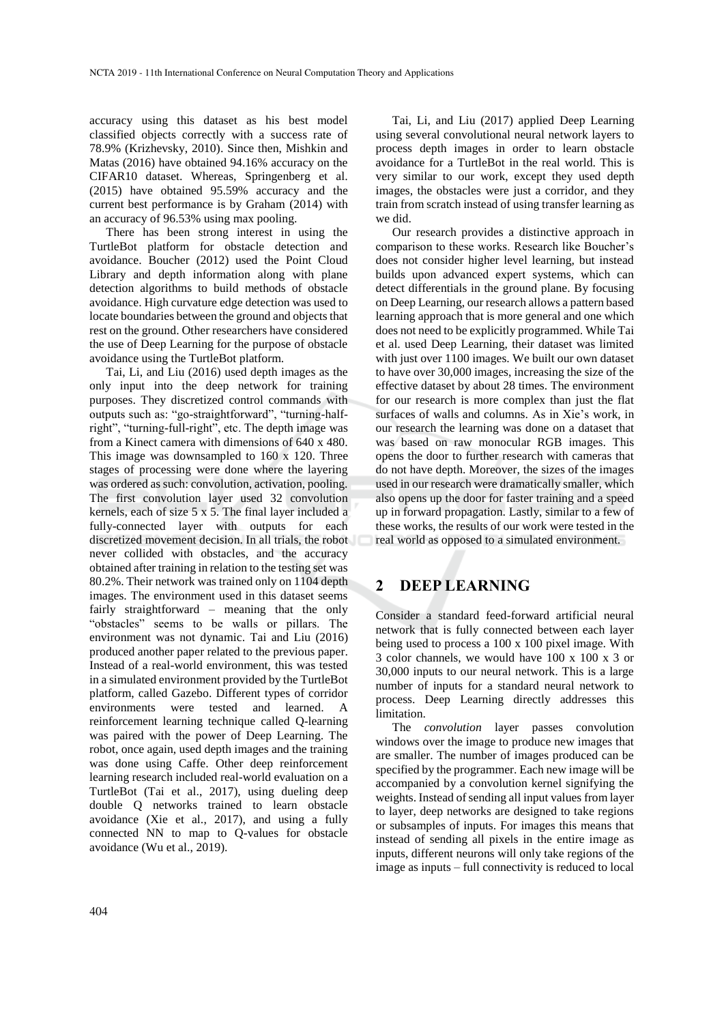accuracy using this dataset as his best model classified objects correctly with a success rate of 78.9% (Krizhevsky, 2010). Since then, Mishkin and Matas (2016) have obtained 94.16% accuracy on the CIFAR10 dataset. Whereas, Springenberg et al. (2015) have obtained 95.59% accuracy and the current best performance is by Graham (2014) with an accuracy of 96.53% using max pooling.

There has been strong interest in using the TurtleBot platform for obstacle detection and avoidance. Boucher (2012) used the Point Cloud Library and depth information along with plane detection algorithms to build methods of obstacle avoidance. High curvature edge detection was used to locate boundaries between the ground and objects that rest on the ground. Other researchers have considered the use of Deep Learning for the purpose of obstacle avoidance using the TurtleBot platform.

Tai, Li, and Liu (2016) used depth images as the only input into the deep network for training purposes. They discretized control commands with outputs such as: "go-straightforward", "turning-halfright", "turning-full-right", etc. The depth image was from a Kinect camera with dimensions of 640 x 480. This image was downsampled to 160 x 120. Three stages of processing were done where the layering was ordered as such: convolution, activation, pooling. The first convolution layer used 32 convolution kernels, each of size 5 x 5. The final layer included a fully-connected layer with outputs for each discretized movement decision. In all trials, the robot never collided with obstacles, and the accuracy obtained after training in relation to the testing set was 80.2%. Their network was trained only on 1104 depth images. The environment used in this dataset seems fairly straightforward – meaning that the only "obstacles" seems to be walls or pillars. The environment was not dynamic. Tai and Liu (2016) produced another paper related to the previous paper. Instead of a real-world environment, this was tested in a simulated environment provided by the TurtleBot platform, called Gazebo. Different types of corridor environments were tested and learned. A reinforcement learning technique called Q-learning was paired with the power of Deep Learning. The robot, once again, used depth images and the training was done using Caffe. Other deep reinforcement learning research included real-world evaluation on a TurtleBot (Tai et al., 2017), using dueling deep double Q networks trained to learn obstacle avoidance (Xie et al., 2017), and using a fully connected NN to map to Q-values for obstacle avoidance (Wu et al., 2019).

Tai, Li, and Liu (2017) applied Deep Learning using several convolutional neural network layers to process depth images in order to learn obstacle avoidance for a TurtleBot in the real world. This is very similar to our work, except they used depth images, the obstacles were just a corridor, and they train from scratch instead of using transfer learning as we did.

Our research provides a distinctive approach in comparison to these works. Research like Boucher's does not consider higher level learning, but instead builds upon advanced expert systems, which can detect differentials in the ground plane. By focusing on Deep Learning, our research allows a pattern based learning approach that is more general and one which does not need to be explicitly programmed. While Tai et al. used Deep Learning, their dataset was limited with just over 1100 images. We built our own dataset to have over 30,000 images, increasing the size of the effective dataset by about 28 times. The environment for our research is more complex than just the flat surfaces of walls and columns. As in Xie's work, in our research the learning was done on a dataset that was based on raw monocular RGB images. This opens the door to further research with cameras that do not have depth. Moreover, the sizes of the images used in our research were dramatically smaller, which also opens up the door for faster training and a speed up in forward propagation. Lastly, similar to a few of these works, the results of our work were tested in the real world as opposed to a simulated environment.

### **2 DEEP LEARNING**

Consider a standard feed-forward artificial neural network that is fully connected between each layer being used to process a 100 x 100 pixel image. With 3 color channels, we would have 100 x 100 x 3 or 30,000 inputs to our neural network. This is a large number of inputs for a standard neural network to process. Deep Learning directly addresses this limitation.

The *convolution* layer passes convolution windows over the image to produce new images that are smaller. The number of images produced can be specified by the programmer. Each new image will be accompanied by a convolution kernel signifying the weights. Instead of sending all input values from layer to layer, deep networks are designed to take regions or subsamples of inputs. For images this means that instead of sending all pixels in the entire image as inputs, different neurons will only take regions of the image as inputs – full connectivity is reduced to local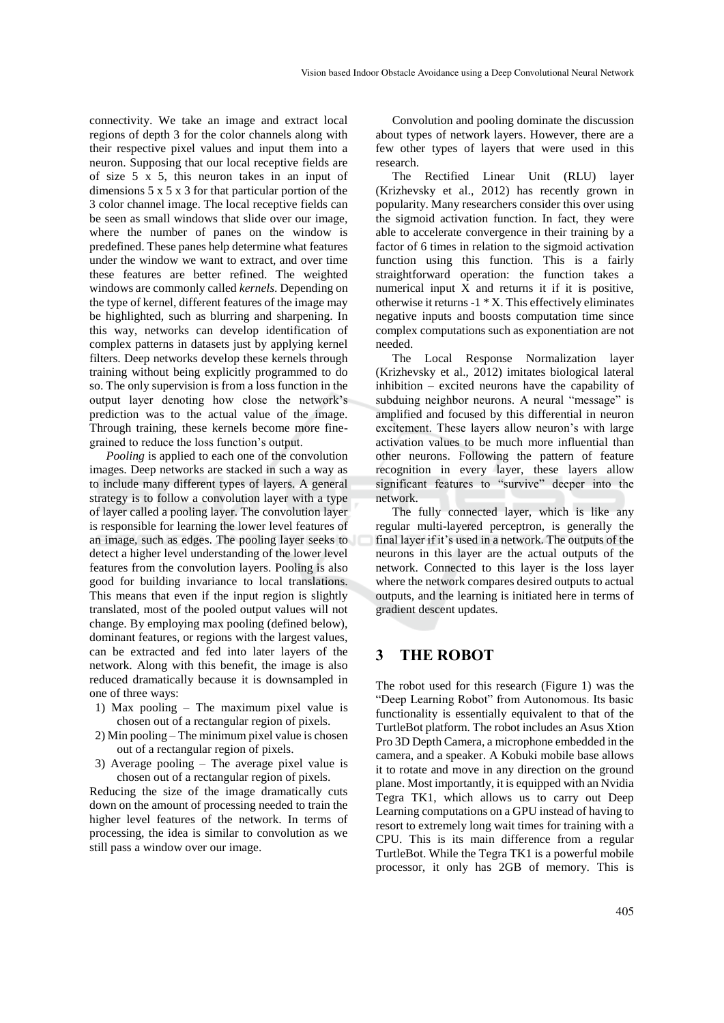connectivity. We take an image and extract local regions of depth 3 for the color channels along with their respective pixel values and input them into a neuron. Supposing that our local receptive fields are of size 5 x 5, this neuron takes in an input of dimensions  $5 \times 5 \times 3$  for that particular portion of the 3 color channel image. The local receptive fields can be seen as small windows that slide over our image, where the number of panes on the window is predefined. These panes help determine what features under the window we want to extract, and over time these features are better refined. The weighted windows are commonly called *kernels*. Depending on the type of kernel, different features of the image may be highlighted, such as blurring and sharpening. In this way, networks can develop identification of complex patterns in datasets just by applying kernel filters. Deep networks develop these kernels through training without being explicitly programmed to do so. The only supervision is from a loss function in the output layer denoting how close the network's prediction was to the actual value of the image. Through training, these kernels become more finegrained to reduce the loss function's output.

*Pooling* is applied to each one of the convolution images. Deep networks are stacked in such a way as to include many different types of layers. A general strategy is to follow a convolution layer with a type of layer called a pooling layer. The convolution layer is responsible for learning the lower level features of an image, such as edges. The pooling layer seeks to detect a higher level understanding of the lower level features from the convolution layers. Pooling is also good for building invariance to local translations. This means that even if the input region is slightly translated, most of the pooled output values will not change. By employing max pooling (defined below), dominant features, or regions with the largest values, can be extracted and fed into later layers of the network. Along with this benefit, the image is also reduced dramatically because it is downsampled in one of three ways:

- 1) Max pooling The maximum pixel value is chosen out of a rectangular region of pixels.
- 2) Min pooling The minimum pixel value is chosen out of a rectangular region of pixels.
- 3) Average pooling The average pixel value is chosen out of a rectangular region of pixels.

Reducing the size of the image dramatically cuts down on the amount of processing needed to train the higher level features of the network. In terms of processing, the idea is similar to convolution as we still pass a window over our image.

Convolution and pooling dominate the discussion about types of network layers. However, there are a few other types of layers that were used in this research.

The Rectified Linear Unit (RLU) layer (Krizhevsky et al., 2012) has recently grown in popularity. Many researchers consider this over using the sigmoid activation function. In fact, they were able to accelerate convergence in their training by a factor of 6 times in relation to the sigmoid activation function using this function. This is a fairly straightforward operation: the function takes a numerical input X and returns it if it is positive, otherwise it returns -1 \* X. This effectively eliminates negative inputs and boosts computation time since complex computations such as exponentiation are not needed.

The Local Response Normalization layer (Krizhevsky et al., 2012) imitates biological lateral inhibition – excited neurons have the capability of subduing neighbor neurons. A neural "message" is amplified and focused by this differential in neuron excitement. These layers allow neuron's with large activation values to be much more influential than other neurons. Following the pattern of feature recognition in every layer, these layers allow significant features to "survive" deeper into the network.

The fully connected layer, which is like any regular multi-layered perceptron, is generally the final layer if it's used in a network. The outputs of the neurons in this layer are the actual outputs of the network. Connected to this layer is the loss layer where the network compares desired outputs to actual outputs, and the learning is initiated here in terms of gradient descent updates.

### **3 THE ROBOT**

The robot used for this research (Figure 1) was the "Deep Learning Robot" from Autonomous. Its basic functionality is essentially equivalent to that of the TurtleBot platform. The robot includes an Asus Xtion Pro 3D Depth Camera, a microphone embedded in the camera, and a speaker. A Kobuki mobile base allows it to rotate and move in any direction on the ground plane. Most importantly, it is equipped with an Nvidia Tegra TK1, which allows us to carry out Deep Learning computations on a GPU instead of having to resort to extremely long wait times for training with a CPU. This is its main difference from a regular TurtleBot. While the Tegra TK1 is a powerful mobile processor, it only has 2GB of memory. This is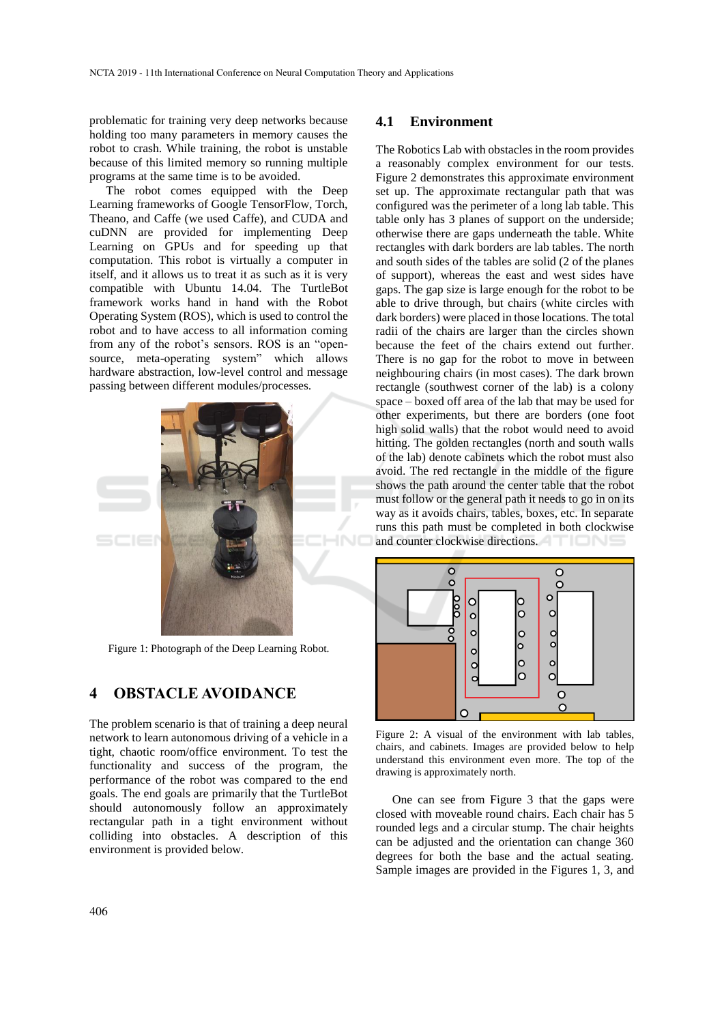problematic for training very deep networks because holding too many parameters in memory causes the robot to crash. While training, the robot is unstable because of this limited memory so running multiple programs at the same time is to be avoided.

The robot comes equipped with the Deep Learning frameworks of Google TensorFlow, Torch, Theano, and Caffe (we used Caffe), and CUDA and cuDNN are provided for implementing Deep Learning on GPUs and for speeding up that computation. This robot is virtually a computer in itself, and it allows us to treat it as such as it is very compatible with Ubuntu 14.04. The TurtleBot framework works hand in hand with the Robot Operating System (ROS), which is used to control the robot and to have access to all information coming from any of the robot's sensors. ROS is an "opensource, meta-operating system" which allows hardware abstraction, low-level control and message passing between different modules/processes.



Figure 1: Photograph of the Deep Learning Robot.

# **4 OBSTACLE AVOIDANCE**

The problem scenario is that of training a deep neural network to learn autonomous driving of a vehicle in a tight, chaotic room/office environment. To test the functionality and success of the program, the performance of the robot was compared to the end goals. The end goals are primarily that the TurtleBot should autonomously follow an approximately rectangular path in a tight environment without colliding into obstacles. A description of this environment is provided below.

#### **4.1 Environment**

The Robotics Lab with obstacles in the room provides a reasonably complex environment for our tests. Figure 2 demonstrates this approximate environment set up. The approximate rectangular path that was configured was the perimeter of a long lab table. This table only has 3 planes of support on the underside; otherwise there are gaps underneath the table. White rectangles with dark borders are lab tables. The north and south sides of the tables are solid (2 of the planes of support), whereas the east and west sides have gaps. The gap size is large enough for the robot to be able to drive through, but chairs (white circles with dark borders) were placed in those locations. The total radii of the chairs are larger than the circles shown because the feet of the chairs extend out further. There is no gap for the robot to move in between neighbouring chairs (in most cases). The dark brown rectangle (southwest corner of the lab) is a colony space – boxed off area of the lab that may be used for other experiments, but there are borders (one foot high solid walls) that the robot would need to avoid hitting. The golden rectangles (north and south walls of the lab) denote cabinets which the robot must also avoid. The red rectangle in the middle of the figure shows the path around the center table that the robot must follow or the general path it needs to go in on its way as it avoids chairs, tables, boxes, etc. In separate runs this path must be completed in both clockwise and counter clockwise directions.



Figure 2: A visual of the environment with lab tables, chairs, and cabinets. Images are provided below to help understand this environment even more. The top of the drawing is approximately north.

One can see from Figure 3 that the gaps were closed with moveable round chairs. Each chair has 5 rounded legs and a circular stump. The chair heights can be adjusted and the orientation can change 360 degrees for both the base and the actual seating. Sample images are provided in the Figures 1, 3, and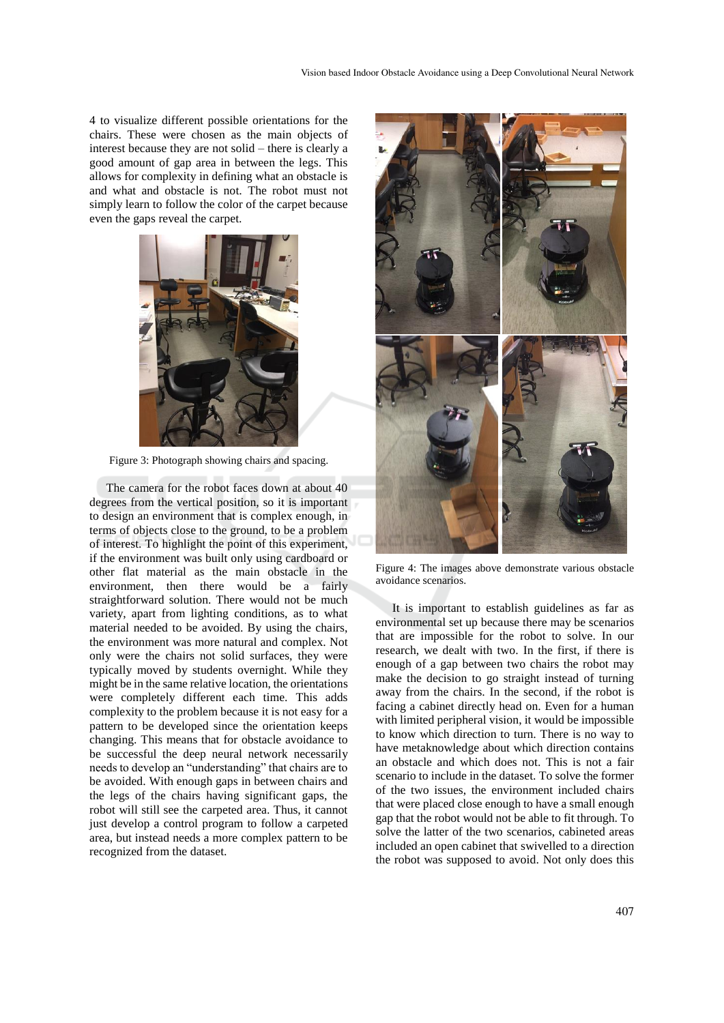4 to visualize different possible orientations for the chairs. These were chosen as the main objects of interest because they are not solid – there is clearly a good amount of gap area in between the legs. This allows for complexity in defining what an obstacle is and what and obstacle is not. The robot must not simply learn to follow the color of the carpet because even the gaps reveal the carpet.



Figure 3: Photograph showing chairs and spacing.

The camera for the robot faces down at about 40 degrees from the vertical position, so it is important to design an environment that is complex enough, in terms of objects close to the ground, to be a problem of interest. To highlight the point of this experiment, if the environment was built only using cardboard or other flat material as the main obstacle in the environment, then there would be a fairly straightforward solution. There would not be much variety, apart from lighting conditions, as to what material needed to be avoided. By using the chairs, the environment was more natural and complex. Not only were the chairs not solid surfaces, they were typically moved by students overnight. While they might be in the same relative location, the orientations were completely different each time. This adds complexity to the problem because it is not easy for a pattern to be developed since the orientation keeps changing. This means that for obstacle avoidance to be successful the deep neural network necessarily needs to develop an "understanding" that chairs are to be avoided. With enough gaps in between chairs and the legs of the chairs having significant gaps, the robot will still see the carpeted area. Thus, it cannot just develop a control program to follow a carpeted area, but instead needs a more complex pattern to be recognized from the dataset.



Figure 4: The images above demonstrate various obstacle avoidance scenarios.

It is important to establish guidelines as far as environmental set up because there may be scenarios that are impossible for the robot to solve. In our research, we dealt with two. In the first, if there is enough of a gap between two chairs the robot may make the decision to go straight instead of turning away from the chairs. In the second, if the robot is facing a cabinet directly head on. Even for a human with limited peripheral vision, it would be impossible to know which direction to turn. There is no way to have metaknowledge about which direction contains an obstacle and which does not. This is not a fair scenario to include in the dataset. To solve the former of the two issues, the environment included chairs that were placed close enough to have a small enough gap that the robot would not be able to fit through. To solve the latter of the two scenarios, cabineted areas included an open cabinet that swivelled to a direction the robot was supposed to avoid. Not only does this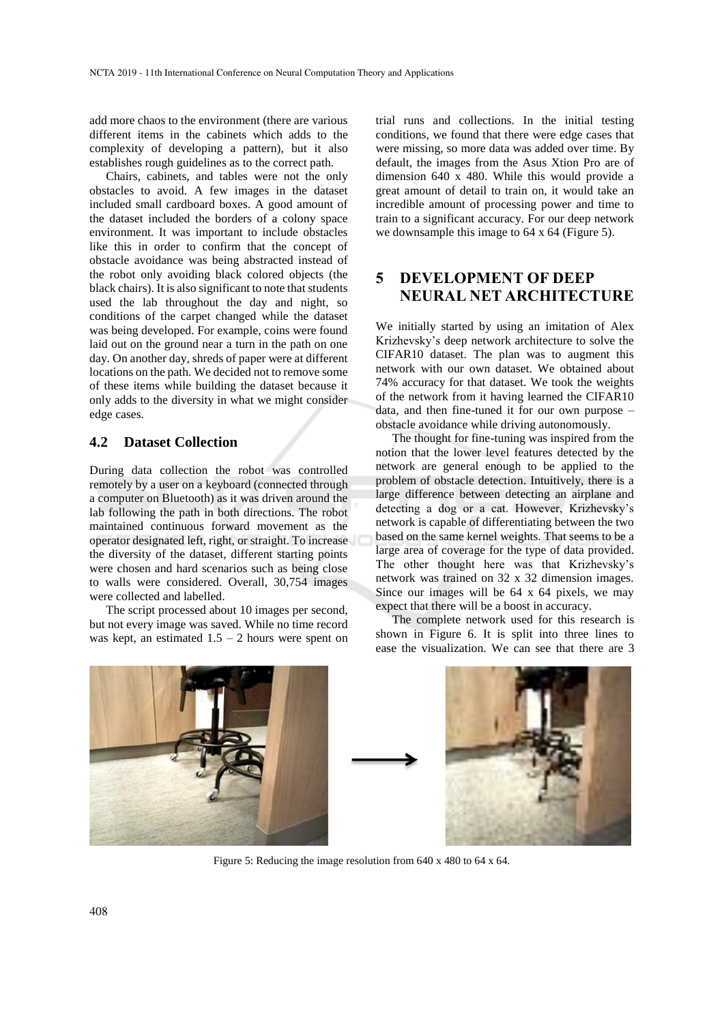add more chaos to the environment (there are various different items in the cabinets which adds to the complexity of developing a pattern), but it also establishes rough guidelines as to the correct path.

Chairs, cabinets, and tables were not the only obstacles to avoid. A few images in the dataset included small cardboard boxes. A good amount of the dataset included the borders of a colony space environment. It was important to include obstacles like this in order to confirm that the concept of obstacle avoidance was being abstracted instead of the robot only avoiding black colored objects (the black chairs). It is also significant to note that students used the lab throughout the day and night, so conditions of the carpet changed while the dataset was being developed. For example, coins were found laid out on the ground near a turn in the path on one day. On another day, shreds of paper were at different locations on the path. We decided not to remove some of these items while building the dataset because it only adds to the diversity in what we might consider edge cases.

#### **4.2 Dataset Collection**

During data collection the robot was controlled remotely by a user on a keyboard (connected through a computer on Bluetooth) as it was driven around the lab following the path in both directions. The robot maintained continuous forward movement as the operator designated left, right, or straight. To increase the diversity of the dataset, different starting points were chosen and hard scenarios such as being close to walls were considered. Overall, 30,754 images were collected and labelled.

The script processed about 10 images per second, but not every image was saved. While no time record was kept, an estimated  $1.5 - 2$  hours were spent on

trial runs and collections. In the initial testing conditions, we found that there were edge cases that were missing, so more data was added over time. By default, the images from the Asus Xtion Pro are of dimension 640 x 480. While this would provide a great amount of detail to train on, it would take an incredible amount of processing power and time to train to a significant accuracy. For our deep network we downsample this image to 64 x 64 (Figure 5).

# **5 DEVELOPMENT OF DEEP NEURAL NET ARCHITECTURE**

We initially started by using an imitation of Alex Krizhevsky's deep network architecture to solve the CIFAR10 dataset. The plan was to augment this network with our own dataset. We obtained about 74% accuracy for that dataset. We took the weights of the network from it having learned the CIFAR10 data, and then fine-tuned it for our own purpose – obstacle avoidance while driving autonomously.

The thought for fine-tuning was inspired from the notion that the lower level features detected by the network are general enough to be applied to the problem of obstacle detection. Intuitively, there is a large difference between detecting an airplane and detecting a dog or a cat. However, Krizhevsky's network is capable of differentiating between the two based on the same kernel weights. That seems to be a large area of coverage for the type of data provided. The other thought here was that Krizhevsky's network was trained on 32 x 32 dimension images. Since our images will be 64 x 64 pixels, we may expect that there will be a boost in accuracy.

The complete network used for this research is shown in Figure 6. It is split into three lines to ease the visualization. We can see that there are 3





Figure 5: Reducing the image resolution from 640 x 480 to 64 x 64.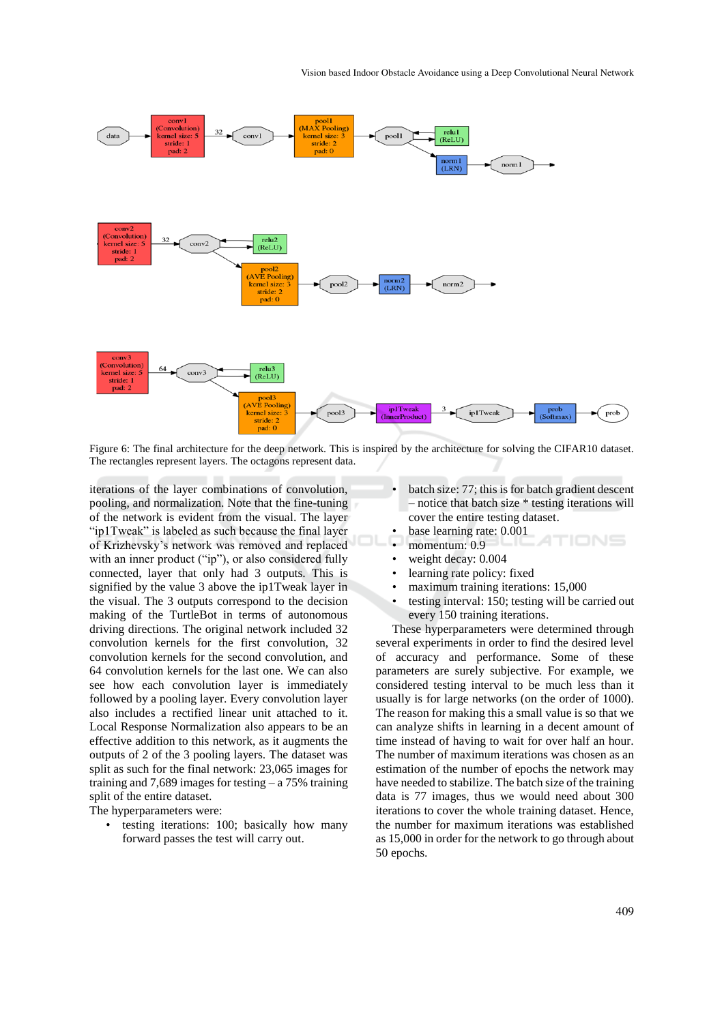

Figure 6: The final architecture for the deep network. This is inspired by the architecture for solving the CIFAR10 dataset. The rectangles represent layers. The octagons represent data.

iterations of the layer combinations of convolution, pooling, and normalization. Note that the fine-tuning of the network is evident from the visual. The layer "ip1Tweak" is labeled as such because the final layer of Krizhevsky's network was removed and replaced with an inner product ("ip"), or also considered fully connected, layer that only had 3 outputs. This is signified by the value 3 above the ip1Tweak layer in the visual. The 3 outputs correspond to the decision making of the TurtleBot in terms of autonomous driving directions. The original network included 32 convolution kernels for the first convolution, 32 convolution kernels for the second convolution, and 64 convolution kernels for the last one. We can also see how each convolution layer is immediately followed by a pooling layer. Every convolution layer also includes a rectified linear unit attached to it. Local Response Normalization also appears to be an effective addition to this network, as it augments the outputs of 2 of the 3 pooling layers. The dataset was split as such for the final network: 23,065 images for training and 7,689 images for testing  $- a 75\%$  training split of the entire dataset.

The hyperparameters were:

testing iterations: 100; basically how many forward passes the test will carry out.

- batch size: 77; this is for batch gradient descent – notice that batch size \* testing iterations will cover the entire testing dataset.
- base learning rate: 0.001
- momentum: 0.9
- weight decay:  $0.004$
- learning rate policy: fixed
- maximum training iterations: 15,000
- testing interval: 150; testing will be carried out every 150 training iterations.

These hyperparameters were determined through several experiments in order to find the desired level of accuracy and performance. Some of these parameters are surely subjective. For example, we considered testing interval to be much less than it usually is for large networks (on the order of 1000). The reason for making this a small value is so that we can analyze shifts in learning in a decent amount of time instead of having to wait for over half an hour. The number of maximum iterations was chosen as an estimation of the number of epochs the network may have needed to stabilize. The batch size of the training data is 77 images, thus we would need about 300 iterations to cover the whole training dataset. Hence, the number for maximum iterations was established as 15,000 in order for the network to go through about 50 epochs.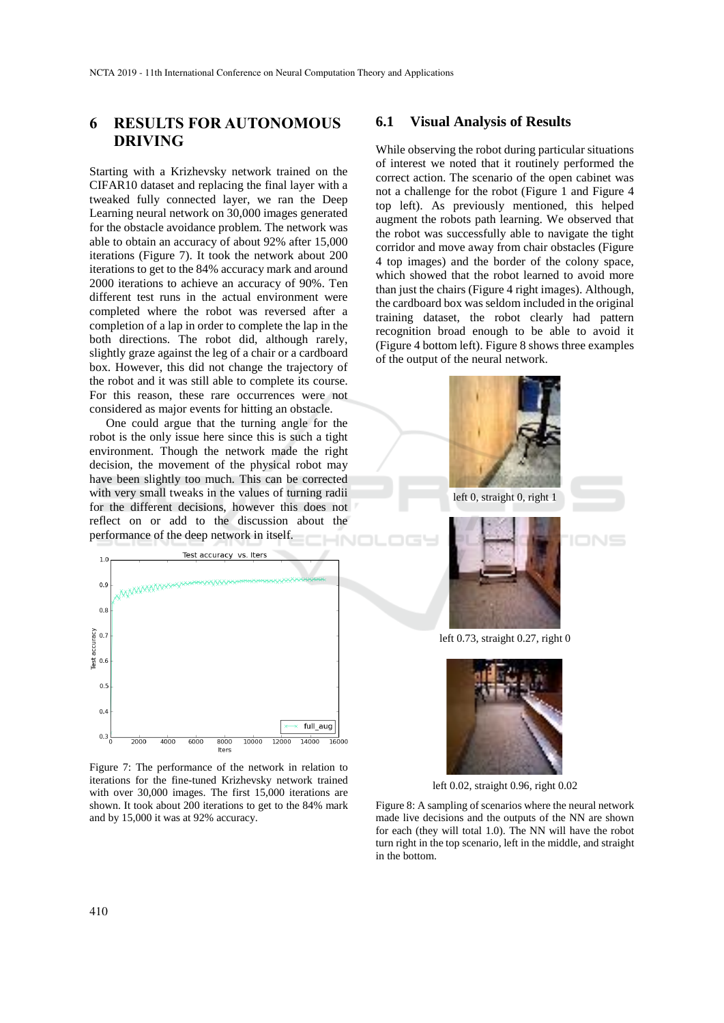### **6 RESULTS FOR AUTONOMOUS DRIVING**

Starting with a Krizhevsky network trained on the CIFAR10 dataset and replacing the final layer with a tweaked fully connected layer, we ran the Deep Learning neural network on 30,000 images generated for the obstacle avoidance problem. The network was able to obtain an accuracy of about 92% after 15,000 iterations (Figure 7). It took the network about 200 iterations to get to the 84% accuracy mark and around 2000 iterations to achieve an accuracy of 90%. Ten different test runs in the actual environment were completed where the robot was reversed after a completion of a lap in order to complete the lap in the both directions. The robot did, although rarely, slightly graze against the leg of a chair or a cardboard box. However, this did not change the trajectory of the robot and it was still able to complete its course. For this reason, these rare occurrences were not considered as major events for hitting an obstacle.

One could argue that the turning angle for the robot is the only issue here since this is such a tight environment. Though the network made the right decision, the movement of the physical robot may have been slightly too much. This can be corrected with very small tweaks in the values of turning radii for the different decisions, however this does not reflect on or add to the discussion about the performance of the deep network in itself.



Figure 7: The performance of the network in relation to iterations for the fine-tuned Krizhevsky network trained with over 30,000 images. The first 15,000 iterations are shown. It took about 200 iterations to get to the 84% mark and by 15,000 it was at 92% accuracy.

#### **6.1 Visual Analysis of Results**

While observing the robot during particular situations of interest we noted that it routinely performed the correct action. The scenario of the open cabinet was not a challenge for the robot (Figure 1 and Figure 4 top left). As previously mentioned, this helped augment the robots path learning. We observed that the robot was successfully able to navigate the tight corridor and move away from chair obstacles (Figure 4 top images) and the border of the colony space, which showed that the robot learned to avoid more than just the chairs (Figure 4 right images). Although, the cardboard box was seldom included in the original training dataset, the robot clearly had pattern recognition broad enough to be able to avoid it (Figure 4 bottom left). Figure 8 shows three examples of the output of the neural network.



left 0, straight 0, right 1



left 0.73, straight 0.27, right 0



left 0.02, straight 0.96, right 0.02

Figure 8: A sampling of scenarios where the neural network made live decisions and the outputs of the NN are shown for each (they will total 1.0). The NN will have the robot turn right in the top scenario, left in the middle, and straight in the bottom.